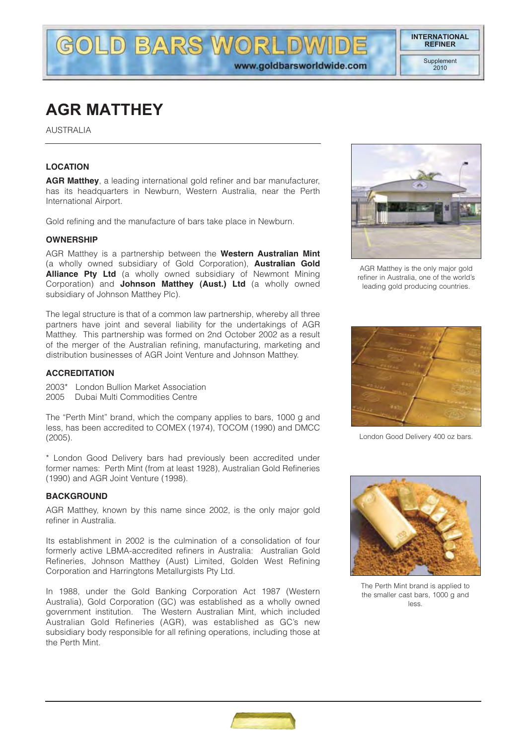# **AGR MATTHEY**

AUSTRALIA

## **LOCATION**

**AGR Matthey**, a leading international gold refiner and bar manufacturer, has its headquarters in Newburn, Western Australia, near the Perth International Airport.

**GOLD BARS WORLDW** 

Gold refining and the manufacture of bars take place in Newburn.

#### **OWNERSHIP**

AGR Matthey is a partnership between the **Western Australian Mint** (a wholly owned subsidiary of Gold Corporation), **Australian Gold Alliance Pty Ltd** (a wholly owned subsidiary of Newmont Mining Corporation) and **Johnson Matthey (Aust.) Ltd** (a wholly owned subsidiary of Johnson Matthey Plc).

The legal structure is that of a common law partnership, whereby all three partners have joint and several liability for the undertakings of AGR Matthey. This partnership was formed on 2nd October 2002 as a result of the merger of the Australian refining, manufacturing, marketing and distribution businesses of AGR Joint Venture and Johnson Matthey.

#### **ACCREDITATION**

2003\* London Bullion Market Association 2005 Dubai Multi Commodities Centre

The "Perth Mint" brand, which the company applies to bars, 1000 g and less, has been accredited to COMEX (1974), TOCOM (1990) and DMCC (2005).

\* London Good Delivery bars had previously been accredited under former names: Perth Mint (from at least 1928), Australian Gold Refineries (1990) and AGR Joint Venture (1998).

#### **BACKGROUND**

AGR Matthey, known by this name since 2002, is the only major gold refiner in Australia.

Its establishment in 2002 is the culmination of a consolidation of four formerly active LBMA-accredited refiners in Australia: Australian Gold Refineries, Johnson Matthey (Aust) Limited, Golden West Refining Corporation and Harringtons Metallurgists Pty Ltd.

In 1988, under the Gold Banking Corporation Act 1987 (Western Australia), Gold Corporation (GC) was established as a wholly owned government institution. The Western Australian Mint, which included Australian Gold Refineries (AGR), was established as GC's new subsidiary body responsible for all refining operations, including those at the Perth Mint.



AGR Matthey is the only major gold refiner in Australia, one of the world's leading gold producing countries.



London Good Delivery 400 oz bars.



The Perth Mint brand is applied to the smaller cast bars, 1000 g and less.

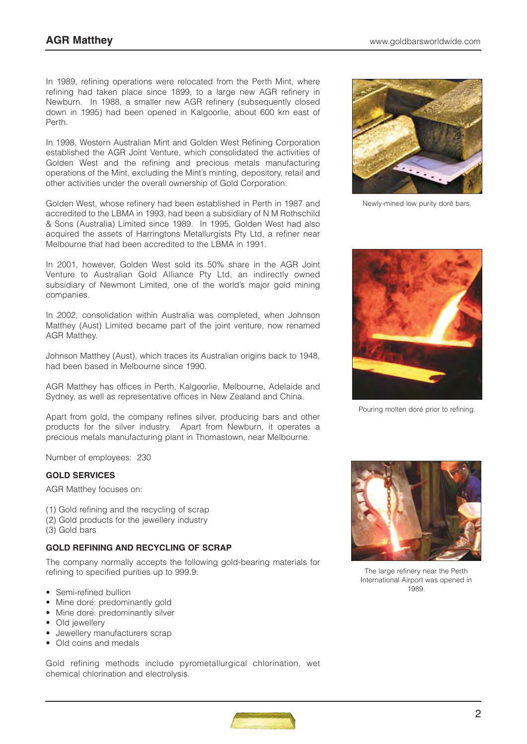In 1989, refining operations were relocated from the Perth Mint, where refining had taken place since 1899, to a large new AGR refinery in Newburn. In 1988, a smaller new AGR refinery (subsequently closed down in 1995) had been opened in Kalgoorlie, about 600 km east of Perth.

In 1998, Western Australian Mint and Golden West Refining Corporation established the AGR Joint Venture, which consolidated the activities of Golden West and the refining and precious metals manufacturing operations of the Mint, excluding the Mint's minting, depository, retail and other activities under the overall ownership of Gold Corporation.

Golden West, whose refinery had been established in Perth in 1987 and accredited to the LBMA in 1993, had been a subsidiary of N M Rothschild & Sons (Australia) Limited since 1989. In 1995, Golden West had also acquired the assets of Harringtons Metallurgists Pty Ltd, a refiner near Melbourne that had been accredited to the LBMA in 1991.

In 2001, however, Golden West sold its 50% share in the AGR Joint Venture to Australian Gold Alliance Pty Ltd, an indirectly owned subsidiary of Newmont Limited, one of the world's major gold mining companies.

In 2002, consolidation within Australia was completed, when Johnson Matthey (Aust) Limited became part of the joint venture, now renamed AGR Matthey.

Johnson Matthey (Aust), which traces its Australian origins back to 1948, had been based in Melbourne since 1990.

AGR Matthey has offices in Perth, Kalgoorlie, Melbourne, Adelaide and Sydney, as well as representative offices in New Zealand and China.

Apart from gold, the company refines silver, producing bars and other products for the silver industry. Apart from Newburn, it operates a precious metals manufacturing plant in Thomastown, near Melbourne.

Number of employees: 230

#### **GOLD SERVICES**

AGR Matthey focuses on:

- (1) Gold refining and the recycling of scrap
- (2) Gold products for the jewellery industry
- (3) Gold bars

#### **GOLD REFINING AND RECYCLING OF SCRAP**

The company normally accepts the following gold-bearing materials for refining to specified purities up to 999.9:

- Semi-refined bullion
- Mine doré: predominantly gold
- Mine doré: predominantly silver
- Old jewellery
- Jewellery manufacturers scrap
- Old coins and medals

Gold refining methods include pyrometallurgical chlorination, wet chemical chlorination and electrolysis.



Newly-mined low purity doré bars.



Pouring molten doré prior to refining.



The large refinery near the Perth International Airport was opened in 1989.

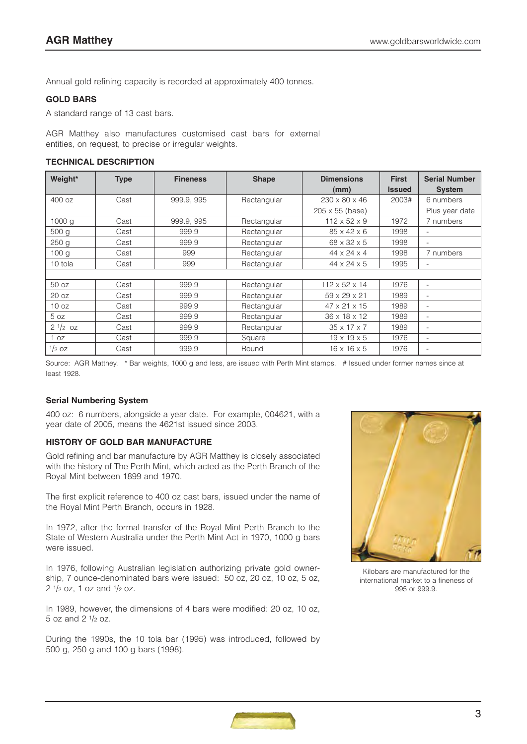Annual gold refining capacity is recorded at approximately 400 tonnes.

# **GOLD BARS**

A standard range of 13 cast bars.

AGR Matthey also manufactures customised cast bars for external entities, on request, to precise or irregular weights.

#### **TECHNICAL DESCRIPTION**

| Weight*           | <b>Type</b> | <b>Fineness</b> | <b>Shape</b> | <b>Dimensions</b>         | <b>First</b>  | <b>Serial Number</b>     |
|-------------------|-------------|-----------------|--------------|---------------------------|---------------|--------------------------|
|                   |             |                 |              | (mm)                      | <b>Issued</b> | <b>System</b>            |
| 400 oz            | Cast        | 999.9, 995      | Rectangular  | $230 \times 80 \times 46$ | 2003#         | 6 numbers                |
|                   |             |                 |              | 205 x 55 (base)           |               | Plus year date           |
| 1000 <sub>q</sub> | Cast        | 999.9, 995      | Rectangular  | $112 \times 52 \times 9$  | 1972          | 7 numbers                |
| 500 g             | Cast        | 999.9           | Rectangular  | $85 \times 42 \times 6$   | 1998          | ٠                        |
| 250 <sub>g</sub>  | Cast        | 999.9           | Rectangular  | 68 x 32 x 5               | 1998          | $\overline{\phantom{a}}$ |
| 100 <sub>q</sub>  | Cast        | 999             | Rectangular  | $44 \times 24 \times 4$   | 1998          | 7 numbers                |
| 10 tola           | Cast        | 999             | Rectangular  | $44 \times 24 \times 5$   | 1995          | $\overline{\phantom{a}}$ |
|                   |             |                 |              |                           |               |                          |
| 50 oz             | Cast        | 999.9           | Rectangular  | $112 \times 52 \times 14$ | 1976          | ٠                        |
| 20 oz             | Cast        | 999.9           | Rectangular  | $59 \times 29 \times 21$  | 1989          | $\overline{\phantom{a}}$ |
| 10 oz             | Cast        | 999.9           | Rectangular  | $47 \times 21 \times 15$  | 1989          | $\overline{\phantom{0}}$ |
| 5 oz              | Cast        | 999.9           | Rectangular  | 36 x 18 x 12              | 1989          | $\overline{\phantom{a}}$ |
| $2^{1/2}$ oz      | Cast        | 999.9           | Rectangular  | $35 \times 17 \times 7$   | 1989          | $\overline{\phantom{a}}$ |
| OZ                | Cast        | 999.9           | Square       | $19 \times 19 \times 5$   | 1976          | $\overline{\phantom{a}}$ |
| $\frac{1}{2}$ OZ  | Cast        | 999.9           | Round        | $16 \times 16 \times 5$   | 1976          | ٠                        |

Source: AGR Matthey. \* Bar weights, 1000 g and less, are issued with Perth Mint stamps. # Issued under former names since at least 1928.

# **Serial Numbering System**

400 oz: 6 numbers, alongside a year date. For example, 004621, with a year date of 2005, means the 4621st issued since 2003.

# **HISTORY OF GOLD BAR MANUFACTURE**

Gold refining and bar manufacture by AGR Matthey is closely associated with the history of The Perth Mint, which acted as the Perth Branch of the Royal Mint between 1899 and 1970.

The first explicit reference to 400 oz cast bars, issued under the name of the Royal Mint Perth Branch, occurs in 1928.

In 1972, after the formal transfer of the Royal Mint Perth Branch to the State of Western Australia under the Perth Mint Act in 1970, 1000 g bars were issued.

In 1976, following Australian legislation authorizing private gold ownership, 7 ounce-denominated bars were issued: 50 oz, 20 oz, 10 oz, 5 oz, 2  $1/2$  oz, 1 oz and  $1/2$  oz.

In 1989, however, the dimensions of 4 bars were modified: 20 oz, 10 oz, 5 oz and  $2 \frac{1}{2}$  oz.

During the 1990s, the 10 tola bar (1995) was introduced, followed by 500 g, 250 g and 100 g bars (1998).



Kilobars are manufactured for the international market to a fineness of 995 or 999.9.

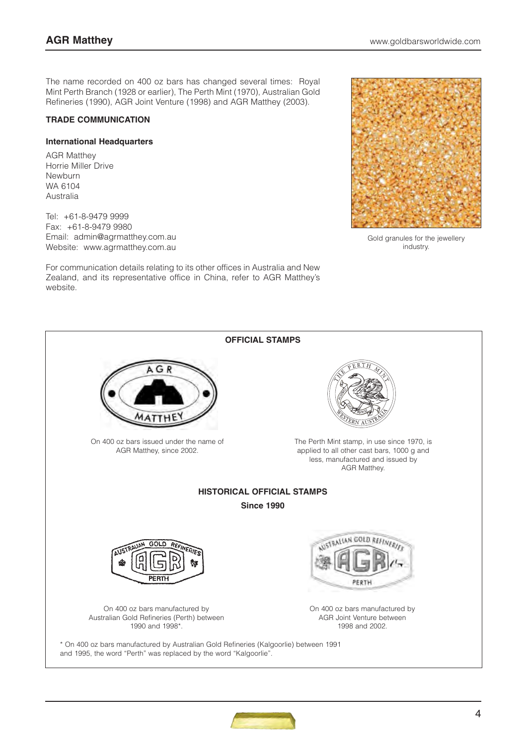The name recorded on 400 oz bars has changed several times: Royal Mint Perth Branch (1928 or earlier), The Perth Mint (1970), Australian Gold Refineries (1990), AGR Joint Venture (1998) and AGR Matthey (2003).

## **TRADE COMMUNICATION**

#### **International Headquarters**

AGR Matthey Horrie Miller Drive Newburn WA 6104 Australia

Tel: +61-8-9479 9999 Fax: +61-8-9479 9980 Email: admin@agrmatthey.com.au Website: www.agrmatthey.com.au

For communication details relating to its other offices in Australia and New Zealand, and its representative office in China, refer to AGR Matthey's website.



Gold granules for the jewellery industry.